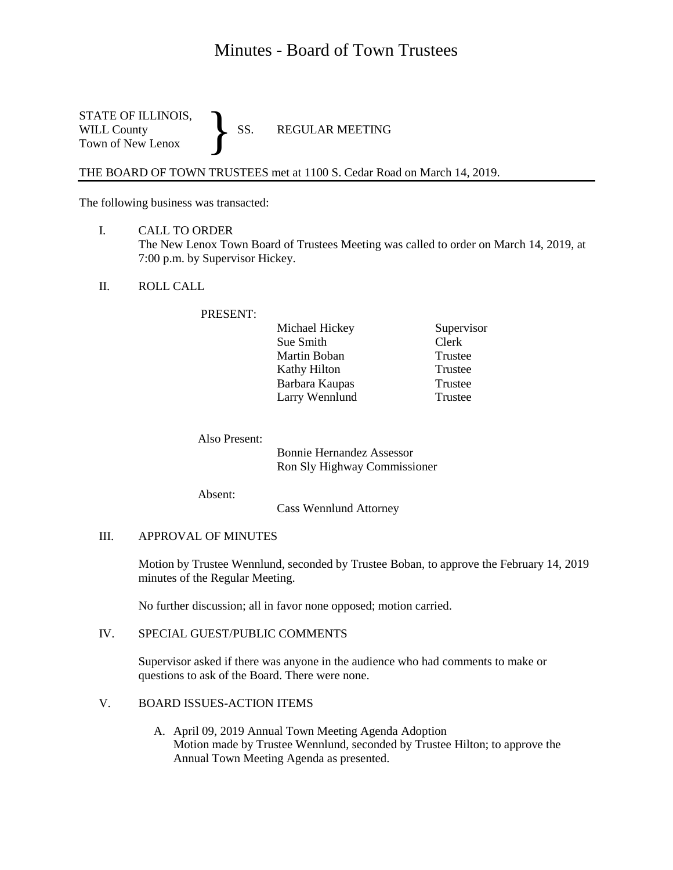# Minutes - Board of Town Trustees

STATE OF ILLINOIS,<br>WILL County SS. WILL County SS. REGULAR MEETING Town of New Lenox }

THE BOARD OF TOWN TRUSTEES met at 1100 S. Cedar Road on March 14, 2019.

The following business was transacted:

- I. CALL TO ORDER The New Lenox Town Board of Trustees Meeting was called to order on March 14, 2019, at 7:00 p.m. by Supervisor Hickey.
- II. ROLL CALL

## PRESENT:

| Michael Hickey | Supervisor |
|----------------|------------|
| Sue Smith      | Clerk      |
| Martin Boban   | Trustee    |
| Kathy Hilton   | Trustee    |
| Barbara Kaupas | Trustee    |
| Larry Wennlund | Trustee    |

Also Present:

Bonnie Hernandez Assessor Ron Sly Highway Commissioner

Absent:

Cass Wennlund Attorney

#### III. APPROVAL OF MINUTES

Motion by Trustee Wennlund, seconded by Trustee Boban, to approve the February 14, 2019 minutes of the Regular Meeting.

No further discussion; all in favor none opposed; motion carried.

## IV. SPECIAL GUEST/PUBLIC COMMENTS

Supervisor asked if there was anyone in the audience who had comments to make or questions to ask of the Board. There were none.

## V. BOARD ISSUES-ACTION ITEMS

A. April 09, 2019 Annual Town Meeting Agenda Adoption Motion made by Trustee Wennlund, seconded by Trustee Hilton; to approve the Annual Town Meeting Agenda as presented.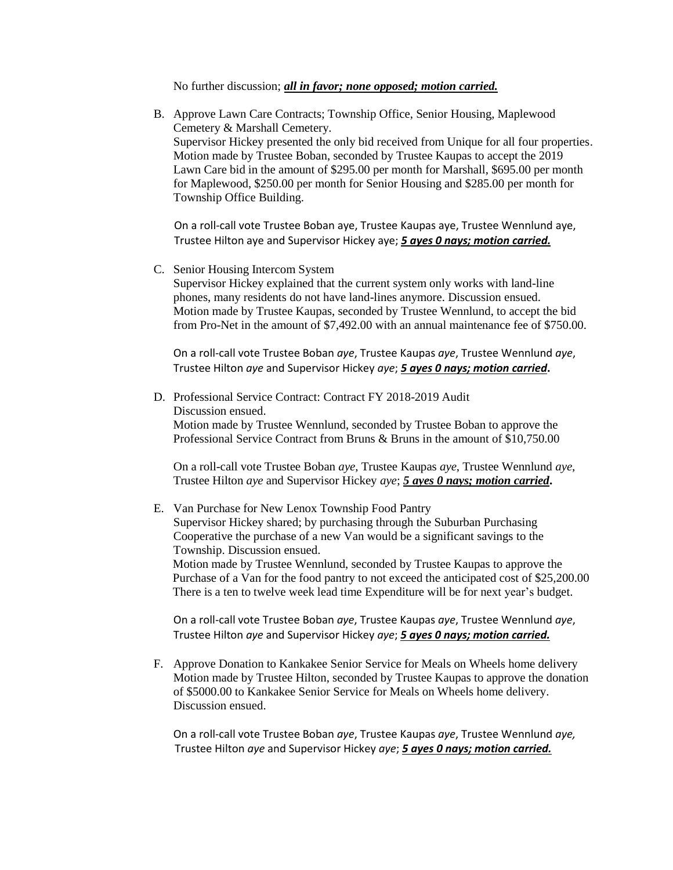No further discussion; *all in favor; none opposed; motion carried.* 

B. Approve Lawn Care Contracts; Township Office, Senior Housing, Maplewood Cemetery & Marshall Cemetery. Supervisor Hickey presented the only bid received from Unique for all four properties. Motion made by Trustee Boban, seconded by Trustee Kaupas to accept the 2019 Lawn Care bid in the amount of \$295.00 per month for Marshall, \$695.00 per month for Maplewood, \$250.00 per month for Senior Housing and \$285.00 per month for Township Office Building.

On a roll-call vote Trustee Boban aye, Trustee Kaupas aye, Trustee Wennlund aye, Trustee Hilton aye and Supervisor Hickey aye; *5 ayes 0 nays; motion carried.*

C. Senior Housing Intercom System

Supervisor Hickey explained that the current system only works with land-line phones, many residents do not have land-lines anymore. Discussion ensued. Motion made by Trustee Kaupas, seconded by Trustee Wennlund, to accept the bid from Pro-Net in the amount of \$7,492.00 with an annual maintenance fee of \$750.00.

On a roll-call vote Trustee Boban *aye*, Trustee Kaupas *aye*, Trustee Wennlund *aye*, Trustee Hilton *aye* and Supervisor Hickey *aye*; *5 ayes 0 nays; motion carried***.**

D. Professional Service Contract: Contract FY 2018-2019 Audit Discussion ensued. Motion made by Trustee Wennlund, seconded by Trustee Boban to approve the Professional Service Contract from Bruns & Bruns in the amount of \$10,750.00

On a roll-call vote Trustee Boban *aye*, Trustee Kaupas *aye*, Trustee Wennlund *aye*, Trustee Hilton *aye* and Supervisor Hickey *aye*; *5 ayes 0 nays; motion carried***.**

## E. Van Purchase for New Lenox Township Food Pantry

Supervisor Hickey shared; by purchasing through the Suburban Purchasing Cooperative the purchase of a new Van would be a significant savings to the Township. Discussion ensued.

 Motion made by Trustee Wennlund, seconded by Trustee Kaupas to approve the Purchase of a Van for the food pantry to not exceed the anticipated cost of \$25,200.00 There is a ten to twelve week lead time Expenditure will be for next year's budget.

 On a roll-call vote Trustee Boban *aye*, Trustee Kaupas *aye*, Trustee Wennlund *aye*, Trustee Hilton *aye* and Supervisor Hickey *aye*; *5 ayes 0 nays; motion carried.*

F. Approve Donation to Kankakee Senior Service for Meals on Wheels home delivery Motion made by Trustee Hilton, seconded by Trustee Kaupas to approve the donation of \$5000.00 to Kankakee Senior Service for Meals on Wheels home delivery. Discussion ensued.

On a roll-call vote Trustee Boban *aye*, Trustee Kaupas *aye*, Trustee Wennlund *aye,* Trustee Hilton *aye* and Supervisor Hickey *aye*; *5 ayes 0 nays; motion carried.*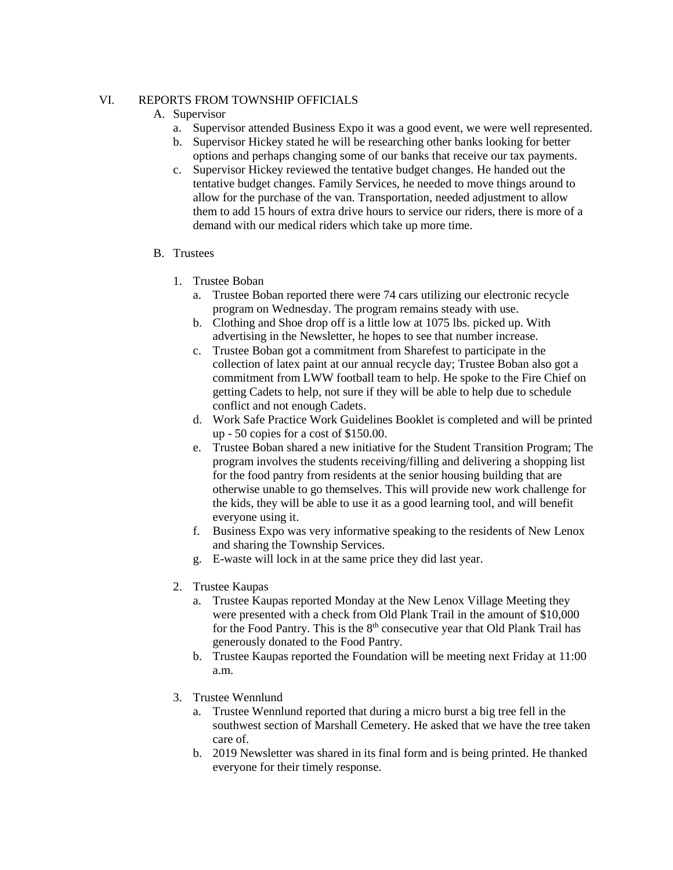## VI. REPORTS FROM TOWNSHIP OFFICIALS

## A. Supervisor

- a. Supervisor attended Business Expo it was a good event, we were well represented.
- b. Supervisor Hickey stated he will be researching other banks looking for better options and perhaps changing some of our banks that receive our tax payments.
- c. Supervisor Hickey reviewed the tentative budget changes. He handed out the tentative budget changes. Family Services, he needed to move things around to allow for the purchase of the van. Transportation, needed adjustment to allow them to add 15 hours of extra drive hours to service our riders, there is more of a demand with our medical riders which take up more time.

## B. Trustees

- 1. Trustee Boban
	- a. Trustee Boban reported there were 74 cars utilizing our electronic recycle program on Wednesday. The program remains steady with use.
	- b. Clothing and Shoe drop off is a little low at 1075 lbs. picked up. With advertising in the Newsletter, he hopes to see that number increase.
	- c. Trustee Boban got a commitment from Sharefest to participate in the collection of latex paint at our annual recycle day; Trustee Boban also got a commitment from LWW football team to help. He spoke to the Fire Chief on getting Cadets to help, not sure if they will be able to help due to schedule conflict and not enough Cadets.
	- d. Work Safe Practice Work Guidelines Booklet is completed and will be printed up - 50 copies for a cost of \$150.00.
	- e. Trustee Boban shared a new initiative for the Student Transition Program; The program involves the students receiving/filling and delivering a shopping list for the food pantry from residents at the senior housing building that are otherwise unable to go themselves. This will provide new work challenge for the kids, they will be able to use it as a good learning tool, and will benefit everyone using it.
	- f. Business Expo was very informative speaking to the residents of New Lenox and sharing the Township Services.
	- g. E-waste will lock in at the same price they did last year.
- 2. Trustee Kaupas
	- a. Trustee Kaupas reported Monday at the New Lenox Village Meeting they were presented with a check from Old Plank Trail in the amount of \$10,000 for the Food Pantry. This is the  $8<sup>th</sup>$  consecutive year that Old Plank Trail has generously donated to the Food Pantry.
	- b. Trustee Kaupas reported the Foundation will be meeting next Friday at 11:00 a.m.
- 3. Trustee Wennlund
	- a. Trustee Wennlund reported that during a micro burst a big tree fell in the southwest section of Marshall Cemetery. He asked that we have the tree taken care of.
	- b. 2019 Newsletter was shared in its final form and is being printed. He thanked everyone for their timely response.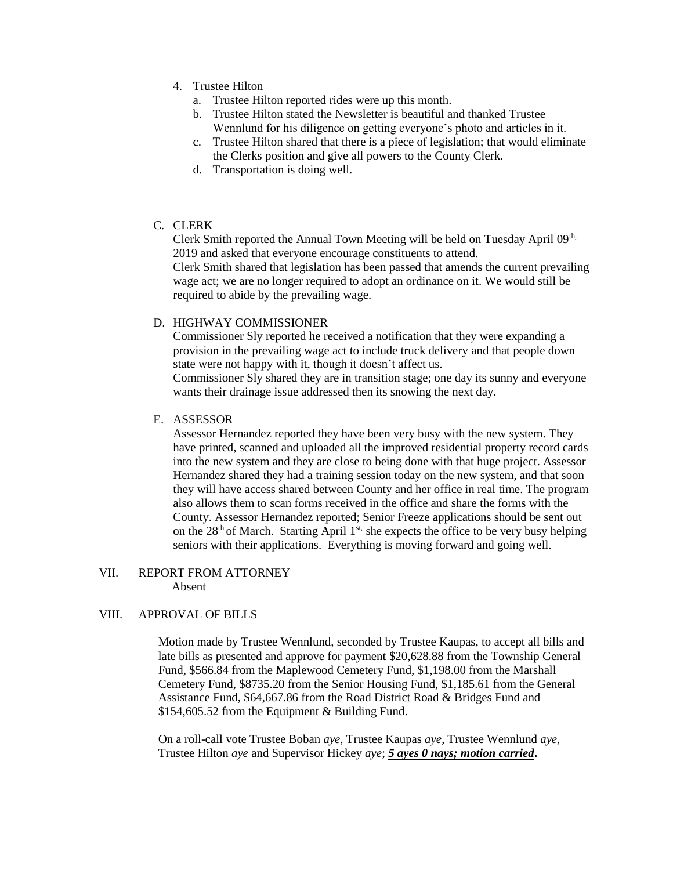- 4. Trustee Hilton
	- a. Trustee Hilton reported rides were up this month.
	- b. Trustee Hilton stated the Newsletter is beautiful and thanked Trustee Wennlund for his diligence on getting everyone's photo and articles in it.
	- c. Trustee Hilton shared that there is a piece of legislation; that would eliminate the Clerks position and give all powers to the County Clerk.
	- d. Transportation is doing well.
- C. CLERK

Clerk Smith reported the Annual Town Meeting will be held on Tuesday April 09<sup>th,</sup> 2019 and asked that everyone encourage constituents to attend. Clerk Smith shared that legislation has been passed that amends the current prevailing wage act; we are no longer required to adopt an ordinance on it. We would still be required to abide by the prevailing wage.

## D. HIGHWAY COMMISSIONER

Commissioner Sly reported he received a notification that they were expanding a provision in the prevailing wage act to include truck delivery and that people down state were not happy with it, though it doesn't affect us.

Commissioner Sly shared they are in transition stage; one day its sunny and everyone wants their drainage issue addressed then its snowing the next day.

## E. ASSESSOR

Assessor Hernandez reported they have been very busy with the new system. They have printed, scanned and uploaded all the improved residential property record cards into the new system and they are close to being done with that huge project. Assessor Hernandez shared they had a training session today on the new system, and that soon they will have access shared between County and her office in real time. The program also allows them to scan forms received in the office and share the forms with the County. Assessor Hernandez reported; Senior Freeze applications should be sent out on the  $28<sup>th</sup>$  of March. Starting April  $1<sup>st</sup>$ , she expects the office to be very busy helping seniors with their applications. Everything is moving forward and going well.

#### VII. REPORT FROM ATTORNEY Absent

## VIII. APPROVAL OF BILLS

Motion made by Trustee Wennlund, seconded by Trustee Kaupas, to accept all bills and late bills as presented and approve for payment \$20,628.88 from the Township General Fund, \$566.84 from the Maplewood Cemetery Fund, \$1,198.00 from the Marshall Cemetery Fund, \$8735.20 from the Senior Housing Fund, \$1,185.61 from the General Assistance Fund, \$64,667.86 from the Road District Road & Bridges Fund and \$154,605.52 from the Equipment & Building Fund.

On a roll-call vote Trustee Boban *aye*, Trustee Kaupas *aye*, Trustee Wennlund *aye*, Trustee Hilton *aye* and Supervisor Hickey *aye*; *5 ayes 0 nays; motion carried***.**